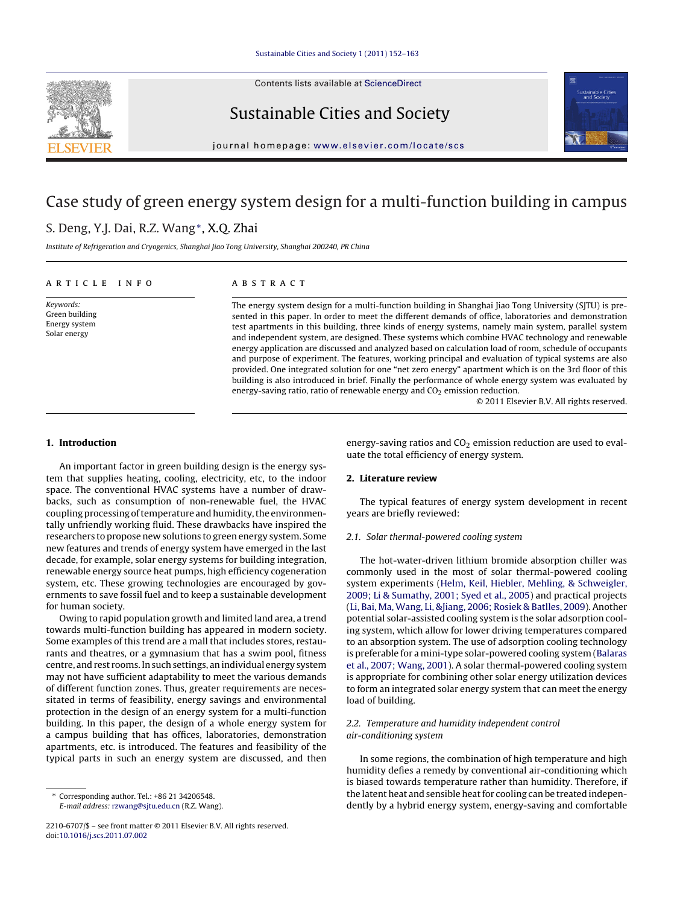Contents lists available at [ScienceDirect](http://www.sciencedirect.com/science/journal/22106707)



Sustainable Cities and Society



jour nal homepage: [www.elsevier.com/locate/scs](http://www.elsevier.com/locate/scs)

## Case study of green energy system design for a multi-function building in campus

## S. Deng, Y.J. Dai, R.Z. Wang∗, X.Q. Zhai

Institute of Refrigeration and Cryogenics, Shanghai Jiao Tong University, Shanghai 200240, PR China

### a r t i c l e i n f o

Keywords: Green building Energy system Solar energy

A B S T R A C T

The energy system design for a multi-function building in Shanghai Jiao Tong University (SJTU) is presented in this paper. In order to meet the different demands of office, laboratories and demonstration test apartments in this building, three kinds of energy systems, namely main system, parallel system and independent system, are designed. These systems which combine HVAC technology and renewable energy application are discussed and analyzed based on calculation load of room, schedule of occupants and purpose of experiment. The features, working principal and evaluation of typical systems are also provided. One integrated solution for one "net zero energy" apartment which is on the 3rd floor of this building is also introduced in brief. Finally the performance of whole energy system was evaluated by energy-saving ratio, ratio of renewable energy and  $CO<sub>2</sub>$  emission reduction.

© 2011 Elsevier B.V. All rights reserved.

## **1. Introduction**

An important factor in green building design is the energy system that supplies heating, cooling, electricity, etc, to the indoor space. The conventional HVAC systems have a number of drawbacks, such as consumption of non-renewable fuel, the HVAC coupling processing of temperature and humidity, the environmentally unfriendly working fluid. These drawbacks have inspired the researchers to propose new solutions to green energy system. Some new features and trends of energy system have emerged in the last decade, for example, solar energy systems for building integration, renewable energy source heat pumps, high efficiency cogeneration system, etc. These growing technologies are encouraged by governments to save fossil fuel and to keep a sustainable development for human society.

Owing to rapid population growth and limited land area, a trend towards multi-function building has appeared in modern society. Some examples of this trend are a mall that includes stores, restaurants and theatres, or a gymnasium that has a swim pool, fitness centre, and rest rooms. In such settings, an individual energy system may not have sufficient adaptability to meet the various demands of different function zones. Thus, greater requirements are necessitated in terms of feasibility, energy savings and environmental protection in the design of an energy system for a multi-function building. In this paper, the design of a whole energy system for a campus building that has offices, laboratories, demonstration apartments, etc. is introduced. The features and feasibility of the typical parts in such an energy system are discussed, and then energy-saving ratios and  $CO<sub>2</sub>$  emission reduction are used to evaluate the total efficiency of energy system.

## **2. Literature review**

The typical features of energy system development in recent years are briefly reviewed:

## 2.1. Solar thermal-powered cooling system

The hot-water-driven lithium bromide absorption chiller was commonly used in the most of solar thermal-powered cooling system experiments [\(Helm,](#page--1-0) [Keil,](#page--1-0) [Hiebler,](#page--1-0) [Mehling,](#page--1-0) [&](#page--1-0) [Schweigler,](#page--1-0) [2009;](#page--1-0) [Li](#page--1-0) [&](#page--1-0) [Sumathy,](#page--1-0) [2001;](#page--1-0) [Syed](#page--1-0) et [al.,](#page--1-0) [2005\)](#page--1-0) and practical projects [\(Li,](#page--1-0) [Bai,](#page--1-0) [Ma,](#page--1-0) [Wang,](#page--1-0) [Li,](#page--1-0) [&Jiang,](#page--1-0) [2006;](#page--1-0) [Rosiek](#page--1-0) [&](#page--1-0) [Batlles,](#page--1-0) [2009\).](#page--1-0) Another potential solar-assisted cooling system is the solar adsorption cooling system, which allow for lower driving temperatures compared to an absorption system. The use of adsorption cooling technology is preferable for a mini-type solar-powered cooling system [\(Balaras](#page--1-0) et [al.,](#page--1-0) [2007;](#page--1-0) [Wang,](#page--1-0) [2001\).](#page--1-0) A solar thermal-powered cooling system is appropriate for combining other solar energy utilization devices to form an integrated solar energy system that can meet the energy load of building.

## 2.2. Temperature and humidity independent control air-conditioning system

In some regions, the combination of high temperature and high humidity defies a remedy by conventional air-conditioning which is biased towards temperature rather than humidity. Therefore, if the latent heat and sensible heat for cooling can be treated independently by a hybrid energy system, energy-saving and comfortable

<sup>∗</sup> Corresponding author. Tel.: +86 21 34206548. E-mail address: [rzwang@sjtu.edu.cn](mailto:rzwang@sjtu.edu.cn) (R.Z. Wang).

<sup>2210-6707/\$</sup> – see front matter © 2011 Elsevier B.V. All rights reserved. doi:[10.1016/j.scs.2011.07.002](dx.doi.org/10.1016/j.scs.2011.07.002)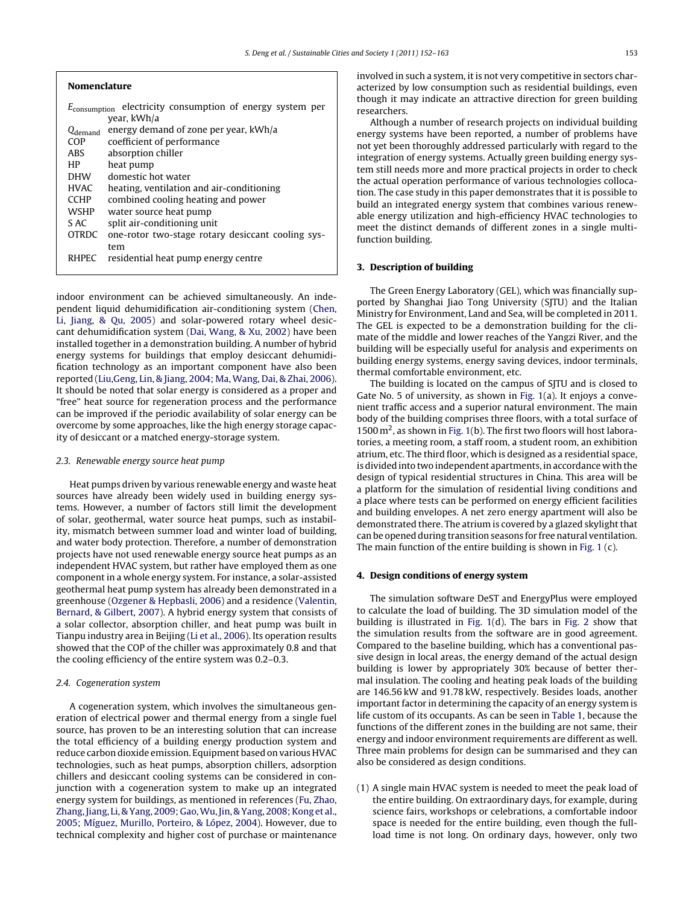| <b>Nomenclature</b>                                                                  |                                                   |
|--------------------------------------------------------------------------------------|---------------------------------------------------|
| electricity consumption of energy system per<br>$E_{\rm consumption}$<br>year, kWh/a |                                                   |
| $Q_{\rm demand}$                                                                     | energy demand of zone per year, kWh/a             |
| COP                                                                                  | coefficient of performance                        |
| ABS.                                                                                 | absorption chiller                                |
| НP                                                                                   | heat pump                                         |
| <b>DHW</b>                                                                           | domestic hot water                                |
| <b>HVAC</b>                                                                          | heating, ventilation and air-conditioning         |
| <b>CCHP</b>                                                                          | combined cooling heating and power                |
| <b>WSHP</b>                                                                          | water source heat pump                            |
| S AC                                                                                 | split air-conditioning unit                       |
| <b>OTRDC</b>                                                                         | one-rotor two-stage rotary desiccant cooling sys- |
|                                                                                      | tem                                               |
| <b>RHPEC</b>                                                                         | residential heat pump energy centre               |
|                                                                                      |                                                   |

indoor environment can be achieved simultaneously. An independent liquid dehumidification air-conditioning system [\(Chen,](#page--1-0) [Li,](#page--1-0) [Jiang,](#page--1-0) [&](#page--1-0) [Qu,](#page--1-0) [2005\)](#page--1-0) and solar-powered rotary wheel desiccant dehumidification system ([Dai,](#page--1-0) [Wang,](#page--1-0) [&](#page--1-0) [Xu,](#page--1-0) [2002\)](#page--1-0) have been installed together in a demonstration building. A number of hybrid energy systems for buildings that employ desiccant dehumidification technology as an important component have also been reported ([Liu,Geng,](#page--1-0) [Lin,](#page--1-0) [&](#page--1-0) [Jiang,](#page--1-0) [2004;](#page--1-0) [Ma,](#page--1-0) [Wang,](#page--1-0) [Dai,](#page--1-0) [&](#page--1-0) [Zhai,](#page--1-0) [2006\).](#page--1-0) It should be noted that solar energy is considered as a proper and "free" heat source for regeneration process and the performance can be improved if the periodic availability of solar energy can be overcome by some approaches, like the high energy storage capacity of desiccant or a matched energy-storage system.

## 2.3. Renewable energy source heat pump

Heat pumps driven by various renewable energy and waste heat sources have already been widely used in building energy systems. However, a number of factors still limit the development of solar, geothermal, water source heat pumps, such as instability, mismatch between summer load and winter load of building, and water body protection. Therefore, a number of demonstration projects have not used renewable energy source heat pumps as an independent HVAC system, but rather have employed them as one component in a whole energy system. For instance, a solar-assisted geothermal heat pump system has already been demonstrated in a greenhouse [\(Ozgener](#page--1-0) [&](#page--1-0) [Hepbasli,](#page--1-0) [2006\)](#page--1-0) and a residence [\(Valentin,](#page--1-0) [Bernard,](#page--1-0) [&](#page--1-0) [Gilbert,](#page--1-0) [2007\).](#page--1-0) A hybrid energy system that consists of a solar collector, absorption chiller, and heat pump was built in Tianpu industry area in Beijing [\(Li](#page--1-0) et [al.,](#page--1-0) [2006\).](#page--1-0) Its operation results showed that the COP of the chiller was approximately 0.8 and that the cooling efficiency of the entire system was 0.2–0.3.

### 2.4. Cogeneration system

A cogeneration system, which involves the simultaneous generation of electrical power and thermal energy from a single fuel source, has proven to be an interesting solution that can increase the total efficiency of a building energy production system and reduce carbon dioxide emission. Equipment based on various HVAC technologies, such as heat pumps, absorption chillers, adsorption chillers and desiccant cooling systems can be considered in conjunction with a cogeneration system to make up an integrated energy system for buildings, as mentioned in references ([Fu,](#page--1-0) [Zhao,](#page--1-0) Zhang, Jiang, [Li,](#page--1-0) [&](#page--1-0) [Yang,](#page--1-0) [2009;](#page--1-0) Gao, Wu, Jin, & Yang, 2008; Kong et [al.,](#page--1-0) [2005;](#page--1-0) [Míguez,](#page--1-0) [Murillo,](#page--1-0) [Porteiro,](#page--1-0) [&](#page--1-0) [López,](#page--1-0) [2004\).](#page--1-0) However, due to technical complexity and higher cost of purchase or maintenance involved in such a system, it is not very competitive in sectors characterized by low consumption such as residential buildings, even though it may indicate an attractive direction for green building researchers.

Although a number of research projects on individual building energy systems have been reported, a number of problems have not yet been thoroughly addressed particularly with regard to the integration of energy systems. Actually green building energy system still needs more and more practical projects in order to check the actual operation performance of various technologies collocation. The case study in this paper demonstrates that it is possible to build an integrated energy system that combines various renewable energy utilization and high-efficiency HVAC technologies to meet the distinct demands of different zones in a single multifunction building.

#### **3. Description of building**

The Green Energy Laboratory (GEL), which was financially supported by Shanghai Jiao Tong University (SJTU) and the Italian Ministry for Environment, Land and Sea, will be completed in 2011. The GEL is expected to be a demonstration building for the climate of the middle and lower reaches of the Yangzi River, and the building will be especially useful for analysis and experiments on building energy systems, energy saving devices, indoor terminals, thermal comfortable environment, etc.

The building is located on the campus of SJTU and is closed to Gate No. 5 of university, as shown in [Fig.](#page--1-0) 1(a). It enjoys a convenient traffic access and a superior natural environment. The main body of the building comprises three floors, with a total surface of 1500 m<sup>2</sup>, as shown in [Fig.](#page--1-0) 1(b). The first two floors will host laboratories, a meeting room, a staff room, a student room, an exhibition atrium, etc. The third floor, which is designed as a residential space, is divided into two independent apartments, in accordance with the design of typical residential structures in China. This area will be a platform for the simulation of residential living conditions and a place where tests can be performed on energy efficient facilities and building envelopes. A net zero energy apartment will also be demonstrated there. The atrium is covered by a glazed skylight that can be opened during transition seasons for free natural ventilation. The main function of the entire building is shown in [Fig.](#page--1-0) 1 (c).

#### **4. Design conditions of energy system**

The simulation software DeST and EnergyPlus were employed to calculate the load of building. The 3D simulation model of the building is illustrated in [Fig.](#page--1-0) 1(d). The bars in [Fig.](#page--1-0) 2 show that the simulation results from the software are in good agreement. Compared to the baseline building, which has a conventional passive design in local areas, the energy demand of the actual design building is lower by appropriately 30% because of better thermal insulation. The cooling and heating peak loads of the building are 146.56 kW and 91.78 kW, respectively. Besides loads, another important factor in determining the capacity of an energy system is life custom of its occupants. As can be seen in [Table](#page--1-0) 1, because the functions of the different zones in the building are not same, their energy and indoor environment requirements are different as well. Three main problems for design can be summarised and they can also be considered as design conditions.

(1) A single main HVAC system is needed to meet the peak load of the entire building. On extraordinary days, for example, during science fairs, workshops or celebrations, a comfortable indoor space is needed for the entire building, even though the fullload time is not long. On ordinary days, however, only two